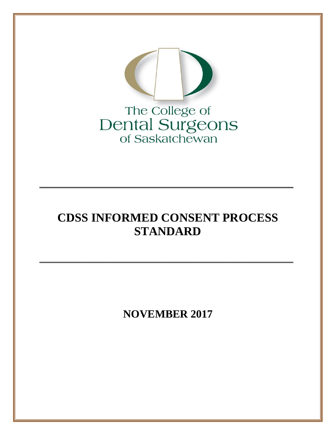

# **CDSS INFORMED CONSENT PROCESS STANDARD**

**\_\_\_\_\_\_\_\_\_\_\_\_\_\_\_\_\_\_\_\_\_\_\_\_\_\_\_\_\_\_\_\_\_\_\_\_\_\_\_\_\_\_\_\_\_\_\_\_\_\_\_\_**

**\_\_\_\_\_\_\_\_\_\_\_\_\_\_\_\_\_\_\_\_\_\_\_\_\_\_\_\_\_\_\_\_\_\_\_\_\_\_\_\_\_\_\_\_\_\_\_\_\_\_\_\_**

**NOVEMBER 2017**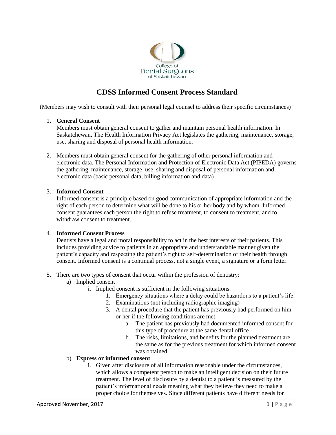

## **CDSS Informed Consent Process Standard**

(Members may wish to consult with their personal legal counsel to address their specific circumstances)

#### 1. **General Consent**

Members must obtain general consent to gather and maintain personal health information. In Saskatchewan, The Health Information Privacy Act legislates the gathering, maintenance, storage, use, sharing and disposal of personal health information.

2. Members must obtain general consent for the gathering of other personal information and electronic data. The Personal Information and Protection of Electronic Data Act (PIPEDA) governs the gathering, maintenance, storage, use, sharing and disposal of personal information and electronic data (basic personal data, billing information and data) .

#### 3. **Informed Consent**

Informed consent is a principle based on good communication of appropriate information and the right of each person to determine what will be done to his or her body and by whom. Informed consent guarantees each person the right to refuse treatment, to consent to treatment, and to withdraw consent to treatment.

#### 4. **Informed Consent Process**

Dentists have a legal and moral responsibility to act in the best interests of their patients. This includes providing advice to patients in an appropriate and understandable manner given the patient's capacity and respecting the patient's right to self-determination of their health through consent. Informed consent is a continual process, not a single event, a signature or a form letter.

- 5. There are two types of consent that occur within the profession of dentistry:
	- a) Implied consent
		- i. Implied consent is sufficient in the following situations:
			- 1. Emergency situations where a delay could be hazardous to a patient's life.
			- 2. Examinations (not including radiographic imaging)
			- 3. A dental procedure that the patient has previously had performed on him or her if the following conditions are met:
				- a. The patient has previously had documented informed consent for this type of procedure at the same dental office
				- b. The risks, limitations, and benefits for the planned treatment are the same as for the previous treatment for which informed consent was obtained.

#### b) **Express or informed consent**

i. Given after disclosure of all information reasonable under the circumstances, which allows a competent person to make an intelligent decision on their future treatment. The level of disclosure by a dentist to a patient is measured by the patient's informational needs meaning what they believe they need to make a proper choice for themselves. Since different patients have different needs for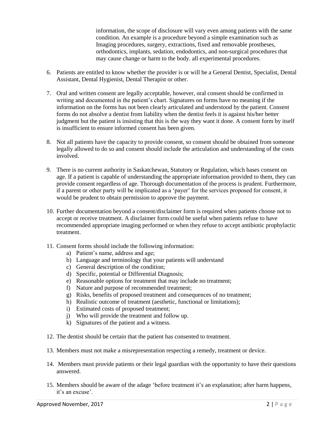information, the scope of disclosure will vary even among patients with the same condition. An example is a procedure beyond a simple examination such as Imaging procedures, surgery, extractions, fixed and removable prostheses, orthodontics, implants, sedation, endodontics, and non-surgical procedures that may cause change or harm to the body. all experimental procedures.

- 6. Patients are entitled to know whether the provider is or will be a General Dentist, Specialist, Dental Assistant, Dental Hygienist, Dental Therapist or other.
- 7. Oral and written consent are legally acceptable, however, oral consent should be confirmed in writing and documented in the patient's chart. Signatures on forms have no meaning if the information on the forms has not been clearly articulated and understood by the patient. Consent forms do not absolve a dentist from liability when the dentist feels it is against his/her better judgment but the patient is insisting that this is the way they want it done. A consent form by itself is insufficient to ensure informed consent has been given.
- 8. Not all patients have the capacity to provide consent, so consent should be obtained from someone legally allowed to do so and consent should include the articulation and understanding of the costs involved.
- 9. There is no current authority in Saskatchewan, Statutory or Regulation, which bases consent on age. If a patient is capable of understanding the appropriate information provided to them, they can provide consent regardless of age. Thorough documentation of the process is prudent. Furthermore, if a parent or other party will be implicated as a 'payer' for the services proposed for consent, it would be prudent to obtain permission to approve the payment.
- 10. Further documentation beyond a consent/disclaimer form is required when patients choose not to accept or receive treatment. A disclaimer form could be useful when patients refuse to have recommended appropriate imaging performed or when they refuse to accept antibiotic prophylactic treatment.
- 11. Consent forms should include the following information:
	- a) Patient's name, address and age;
	- b) Language and terminology that your patients will understand
	- c) General description of the condition;
	- d) Specific, potential or Differential Diagnosis;
	- e) Reasonable options for treatment that may include no treatment;
	- f) Nature and purpose of recommended treatment;
	- g) Risks, benefits of proposed treatment and consequences of no treatment;
	- h) Realistic outcome of treatment (aesthetic, functional or limitations);
	- i) Estimated costs of proposed treatment;
	- j) Who will provide the treatment and follow up.
	- k) Signatures of the patient and a witness.
- 12. The dentist should be certain that the patient has consented to treatment.
- 13. Members must not make a misrepresentation respecting a remedy, treatment or device.
- 14. Members must provide patients or their legal guardian with the opportunity to have their questions answered.
- 15. Members should be aware of the adage 'before treatment it's an explanation; after harm happens, it's an excuse'.